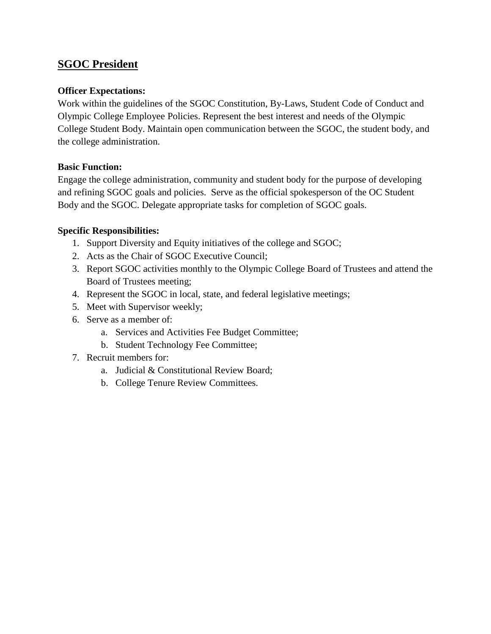## **SGOC President**

#### **Officer Expectations:**

Work within the guidelines of the SGOC Constitution, By-Laws, Student Code of Conduct and Olympic College Employee Policies. Represent the best interest and needs of the Olympic College Student Body. Maintain open communication between the SGOC, the student body, and the college administration.

### **Basic Function:**

Engage the college administration, community and student body for the purpose of developing and refining SGOC goals and policies. Serve as the official spokesperson of the OC Student Body and the SGOC. Delegate appropriate tasks for completion of SGOC goals.

- 1. Support Diversity and Equity initiatives of the college and SGOC;
- 2. Acts as the Chair of SGOC Executive Council;
- 3. Report SGOC activities monthly to the Olympic College Board of Trustees and attend the Board of Trustees meeting;
- 4. Represent the SGOC in local, state, and federal legislative meetings;
- 5. Meet with Supervisor weekly;
- 6. Serve as a member of:
	- a. Services and Activities Fee Budget Committee;
	- b. Student Technology Fee Committee;
- 7. Recruit members for:
	- a. Judicial & Constitutional Review Board;
	- b. College Tenure Review Committees.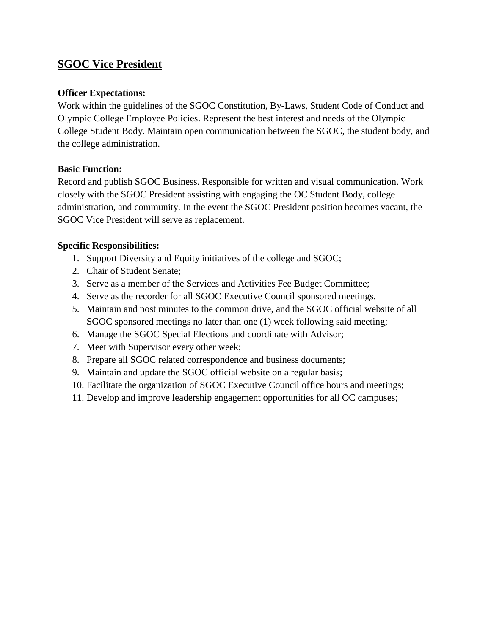## **SGOC Vice President**

#### **Officer Expectations:**

Work within the guidelines of the SGOC Constitution, By-Laws, Student Code of Conduct and Olympic College Employee Policies. Represent the best interest and needs of the Olympic College Student Body. Maintain open communication between the SGOC, the student body, and the college administration.

### **Basic Function:**

Record and publish SGOC Business. Responsible for written and visual communication. Work closely with the SGOC President assisting with engaging the OC Student Body, college administration, and community. In the event the SGOC President position becomes vacant, the SGOC Vice President will serve as replacement.

- 1. Support Diversity and Equity initiatives of the college and SGOC;
- 2. Chair of Student Senate;
- 3. Serve as a member of the Services and Activities Fee Budget Committee;
- 4. Serve as the recorder for all SGOC Executive Council sponsored meetings.
- 5. Maintain and post minutes to the common drive, and the SGOC official website of all SGOC sponsored meetings no later than one (1) week following said meeting;
- 6. Manage the SGOC Special Elections and coordinate with Advisor;
- 7. Meet with Supervisor every other week;
- 8. Prepare all SGOC related correspondence and business documents;
- 9. Maintain and update the SGOC official website on a regular basis;
- 10. Facilitate the organization of SGOC Executive Council office hours and meetings;
- 11. Develop and improve leadership engagement opportunities for all OC campuses;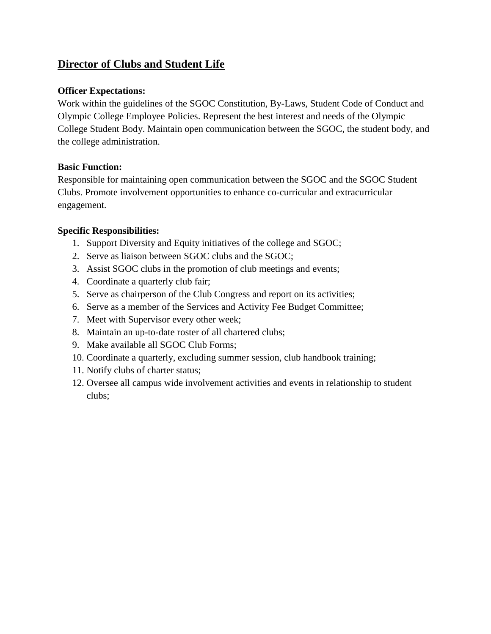# **Director of Clubs and Student Life**

### **Officer Expectations:**

Work within the guidelines of the SGOC Constitution, By-Laws, Student Code of Conduct and Olympic College Employee Policies. Represent the best interest and needs of the Olympic College Student Body. Maintain open communication between the SGOC, the student body, and the college administration.

### **Basic Function:**

Responsible for maintaining open communication between the SGOC and the SGOC Student Clubs. Promote involvement opportunities to enhance co-curricular and extracurricular engagement.

- 1. Support Diversity and Equity initiatives of the college and SGOC;
- 2. Serve as liaison between SGOC clubs and the SGOC;
- 3. Assist SGOC clubs in the promotion of club meetings and events;
- 4. Coordinate a quarterly club fair;
- 5. Serve as chairperson of the Club Congress and report on its activities;
- 6. Serve as a member of the Services and Activity Fee Budget Committee;
- 7. Meet with Supervisor every other week;
- 8. Maintain an up-to-date roster of all chartered clubs;
- 9. Make available all SGOC Club Forms;
- 10. Coordinate a quarterly, excluding summer session, club handbook training;
- 11. Notify clubs of charter status;
- 12. Oversee all campus wide involvement activities and events in relationship to student clubs;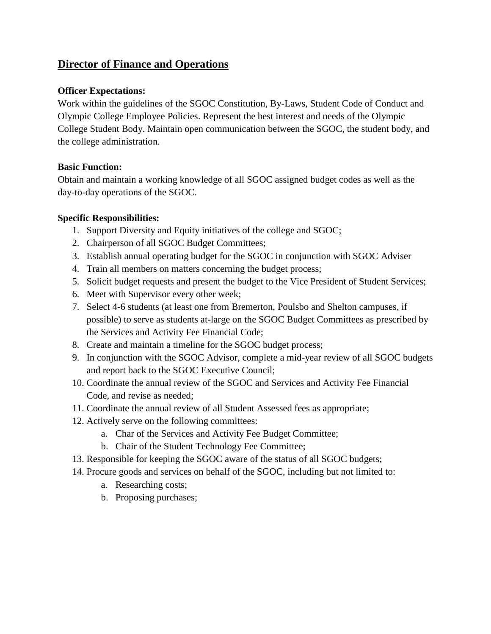## **Director of Finance and Operations**

### **Officer Expectations:**

Work within the guidelines of the SGOC Constitution, By-Laws, Student Code of Conduct and Olympic College Employee Policies. Represent the best interest and needs of the Olympic College Student Body. Maintain open communication between the SGOC, the student body, and the college administration.

## **Basic Function:**

Obtain and maintain a working knowledge of all SGOC assigned budget codes as well as the day-to-day operations of the SGOC.

- 1. Support Diversity and Equity initiatives of the college and SGOC;
- 2. Chairperson of all SGOC Budget Committees;
- 3. Establish annual operating budget for the SGOC in conjunction with SGOC Adviser
- 4. Train all members on matters concerning the budget process;
- 5. Solicit budget requests and present the budget to the Vice President of Student Services;
- 6. Meet with Supervisor every other week;
- 7. Select 4-6 students (at least one from Bremerton, Poulsbo and Shelton campuses, if possible) to serve as students at-large on the SGOC Budget Committees as prescribed by the Services and Activity Fee Financial Code;
- 8. Create and maintain a timeline for the SGOC budget process;
- 9. In conjunction with the SGOC Advisor, complete a mid-year review of all SGOC budgets and report back to the SGOC Executive Council;
- 10. Coordinate the annual review of the SGOC and Services and Activity Fee Financial Code, and revise as needed;
- 11. Coordinate the annual review of all Student Assessed fees as appropriate;
- 12. Actively serve on the following committees:
	- a. Char of the Services and Activity Fee Budget Committee;
	- b. Chair of the Student Technology Fee Committee;
- 13. Responsible for keeping the SGOC aware of the status of all SGOC budgets;
- 14. Procure goods and services on behalf of the SGOC, including but not limited to:
	- a. Researching costs;
	- b. Proposing purchases;